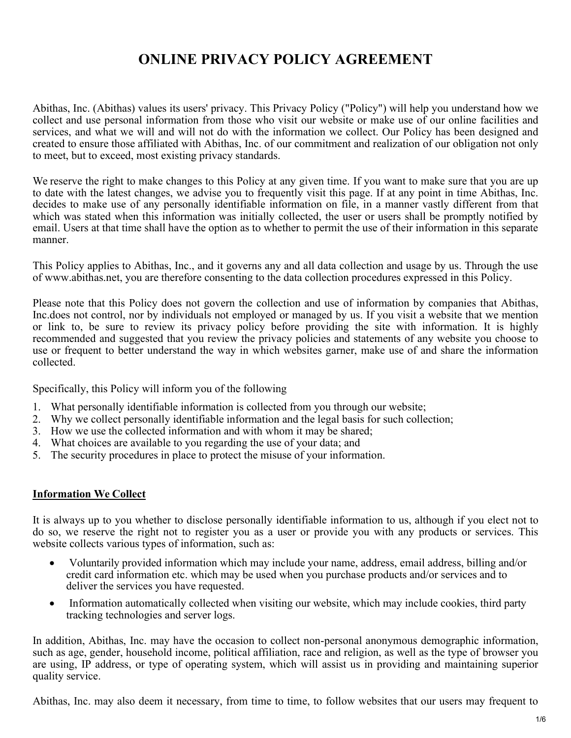# ONLINE PRIVACY POLICY AGREEMENT

Abithas, Inc. (Abithas) values its users' privacy. This Privacy Policy ("Policy") will help you understand how we collect and use personal information from those who visit our website or make use of our online facilities and services, and what we will and will not do with the information we collect. Our Policy has been designed and created to ensure those affiliated with Abithas, Inc. of our commitment and realization of our obligation not only to meet, but to exceed, most existing privacy standards.

We reserve the right to make changes to this Policy at any given time. If you want to make sure that you are up to date with the latest changes, we advise you to frequently visit this page. If at any point in time Abithas, Inc. decides to make use of any personally identifiable information on file, in a manner vastly different from that which was stated when this information was initially collected, the user or users shall be promptly notified by email. Users at that time shall have the option as to whether to permit the use of their information in this separate manner.

This Policy applies to Abithas, Inc., and it governs any and all data collection and usage by us. Through the use of www.abithas.net, you are therefore consenting to the data collection procedures expressed in this Policy.

Please note that this Policy does not govern the collection and use of information by companies that Abithas, Inc.does not control, nor by individuals not employed or managed by us. If you visit a website that we mention or link to, be sure to review its privacy policy before providing the site with information. It is highly recommended and suggested that you review the privacy policies and statements of any website you choose to use or frequent to better understand the way in which websites garner, make use of and share the information collected.

Specifically, this Policy will inform you of the following

- 1. What personally identifiable information is collected from you through our website;
- 2. Why we collect personally identifiable information and the legal basis for such collection;
- 3. How we use the collected information and with whom it may be shared;
- 4. What choices are available to you regarding the use of your data; and
- 5. The security procedures in place to protect the misuse of your information.

# **Information We Collect**

It is always up to you whether to disclose personally identifiable information to us, although if you elect not to do so, we reserve the right not to register you as a user or provide you with any products or services. This website collects various types of information, such as:

- Voluntarily provided information which may include your name, address, email address, billing and/or credit card information etc. which may be used when you purchase products and/or services and to deliver the services you have requested.
- Information automatically collected when visiting our website, which may include cookies, third party tracking technologies and server logs.

In addition, Abithas, Inc. may have the occasion to collect non-personal anonymous demographic information, such as age, gender, household income, political affiliation, race and religion, as well as the type of browser you are using, IP address, or type of operating system, which will assist us in providing and maintaining superior quality service.

Abithas, Inc. may also deem it necessary, from time to time, to follow websites that our users may frequent to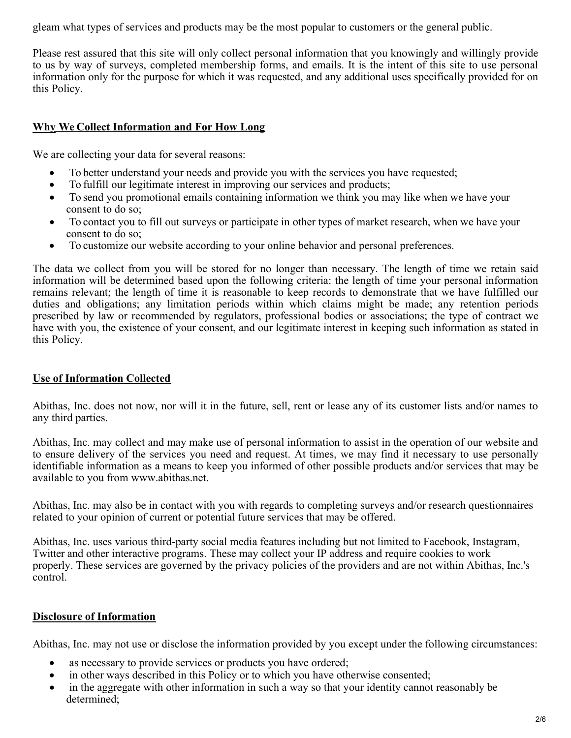gleam what types of services and products may be the most popular to customers or the general public.

Please rest assured that this site will only collect personal information that you knowingly and willingly provide to us by way of surveys, completed membership forms, and emails. It is the intent of this site to use personal information only for the purpose for which it was requested, and any additional uses specifically provided for on this Policy.

# Why We Collect Information and For How Long

We are collecting your data for several reasons:

- To better understand your needs and provide you with the services you have requested;
- To fulfill our legitimate interest in improving our services and products;
- To send you promotional emails containing information we think you may like when we have your consent to do so;
- To contact you to fill out surveys or participate in other types of market research, when we have your consent to do so;
- To customize our website according to your online behavior and personal preferences.

The data we collect from you will be stored for no longer than necessary. The length of time we retain said information will be determined based upon the following criteria: the length of time your personal information remains relevant; the length of time it is reasonable to keep records to demonstrate that we have fulfilled our duties and obligations; any limitation periods within which claims might be made; any retention periods prescribed by law or recommended by regulators, professional bodies or associations; the type of contract we have with you, the existence of your consent, and our legitimate interest in keeping such information as stated in this Policy.

# **Use of Information Collected**

Abithas, Inc. does not now, nor will it in the future, sell, rent or lease any of its customer lists and/or names to any third parties.

Abithas, Inc. may collect and may make use of personal information to assist in the operation of our website and to ensure delivery of the services you need and request. At times, we may find it necessary to use personally identifiable information as a means to keep you informed of other possible products and/or services that may be available to you from www.abithas.net.

Abithas, Inc. may also be in contact with you with regards to completing surveys and/or research questionnaires related to your opinion of current or potential future services that may be offered.

Abithas, Inc. uses various third-party social media features including but not limited to Facebook, Instagram, Twitter and other interactive programs. These may collect your IP address and require cookies to work properly. These services are governed by the privacy policies of the providers and are not within Abithas, Inc.'s control.

# Disclosure of Information

Abithas, Inc. may not use or disclose the information provided by you except under the following circumstances:

- as necessary to provide services or products you have ordered;
- in other ways described in this Policy or to which you have otherwise consented;
- in the aggregate with other information in such a way so that your identity cannot reasonably be determined;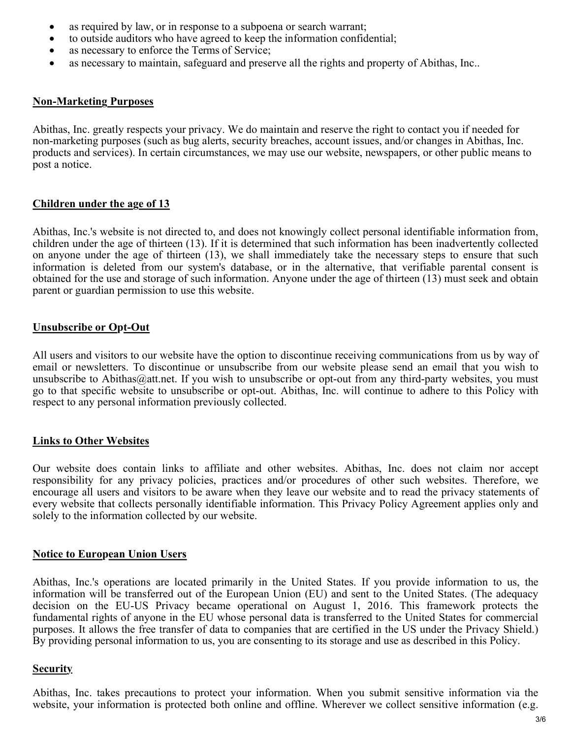- as required by law, or in response to a subpoena or search warrant;
- to outside auditors who have agreed to keep the information confidential;
- as necessary to enforce the Terms of Service;
- as necessary to maintain, safeguard and preserve all the rights and property of Abithas, Inc..

### **Non-Marketing Purposes**

Abithas, Inc. greatly respects your privacy. We do maintain and reserve the right to contact you if needed for non-marketing purposes (such as bug alerts, security breaches, account issues, and/or changes in Abithas, Inc. products and services). In certain circumstances, we may use our website, newspapers, or other public means to post a notice.

### Children under the age of 13

Abithas, Inc.'s website is not directed to, and does not knowingly collect personal identifiable information from, children under the age of thirteen (13). If it is determined that such information has been inadvertently collected on anyone under the age of thirteen (13), we shall immediately take the necessary steps to ensure that such information is deleted from our system's database, or in the alternative, that verifiable parental consent is obtained for the use and storage of such information. Anyone under the age of thirteen (13) must seek and obtain parent or guardian permission to use this website.

## Unsubscribe or Opt-Out

All users and visitors to our website have the option to discontinue receiving communications from us by way of email or newsletters. To discontinue or unsubscribe from our website please send an email that you wish to unsubscribe to Abithas  $@at.$  If you wish to unsubscribe or opt-out from any third-party websites, you must go to that specific website to unsubscribe or opt-out. Abithas, Inc. will continue to adhere to this Policy with respect to any personal information previously collected.

## **Links to Other Websites**

Our website does contain links to affiliate and other websites. Abithas, Inc. does not claim nor accept responsibility for any privacy policies, practices and/or procedures of other such websites. Therefore, we encourage all users and visitors to be aware when they leave our website and to read the privacy statements of every website that collects personally identifiable information. This Privacy Policy Agreement applies only and solely to the information collected by our website.

#### Notice to European Union Users

Abithas, Inc.'s operations are located primarily in the United States. If you provide information to us, the information will be transferred out of the European Union (EU) and sent to the United States. (The adequacy decision on the EU-US Privacy became operational on August 1, 2016. This framework protects the fundamental rights of anyone in the EU whose personal data is transferred to the United States for commercial purposes. It allows the free transfer of data to companies that are certified in the US under the Privacy Shield.) By providing personal information to us, you are consenting to its storage and use as described in this Policy.

#### **Security**

Abithas, Inc. takes precautions to protect your information. When you submit sensitive information via the website, your information is protected both online and offline. Wherever we collect sensitive information (e.g.